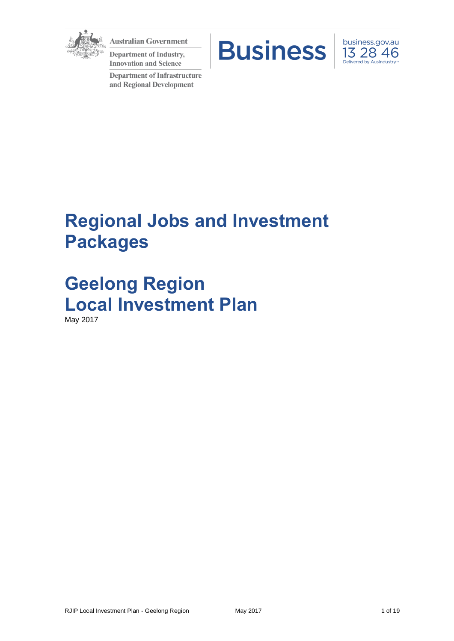

**Australian Government** 

**Department of Industry, Innovation and Science** 

**Department of Infrastructure** and Regional Development





# **Regional Jobs and Investment Packages**

**Geelong Region Local Investment Plan** May 2017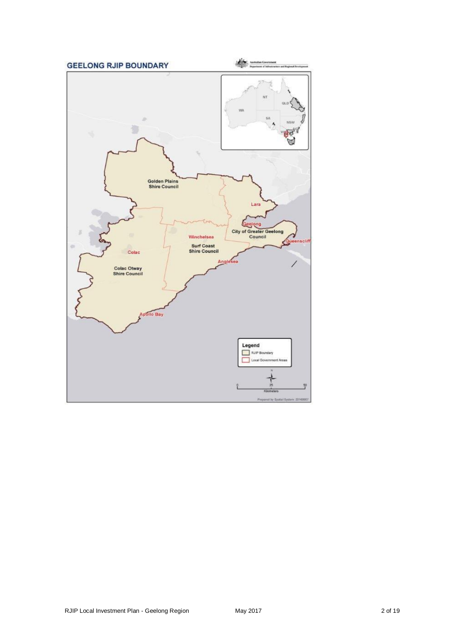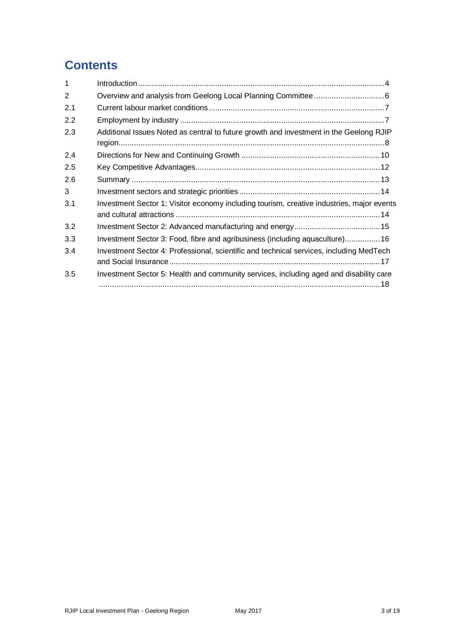## **Contents**

| $\mathbf 1$    |                                                                                           |  |
|----------------|-------------------------------------------------------------------------------------------|--|
| $\overline{2}$ |                                                                                           |  |
| 2.1            |                                                                                           |  |
| 2.2            |                                                                                           |  |
| 2.3            | Additional Issues Noted as central to future growth and investment in the Geelong RJIP    |  |
| 2.4            |                                                                                           |  |
| 2.5            |                                                                                           |  |
| 2.6            |                                                                                           |  |
| 3              |                                                                                           |  |
| 3.1            | Investment Sector 1: Visitor economy including tourism, creative industries, major events |  |
| 3.2            |                                                                                           |  |
| 3.3            | Investment Sector 3: Food, fibre and agribusiness (including aquaculture) 16              |  |
| 3.4            | Investment Sector 4: Professional, scientific and technical services, including MedTech   |  |
| 3.5            | Investment Sector 5: Health and community services, including aged and disability care    |  |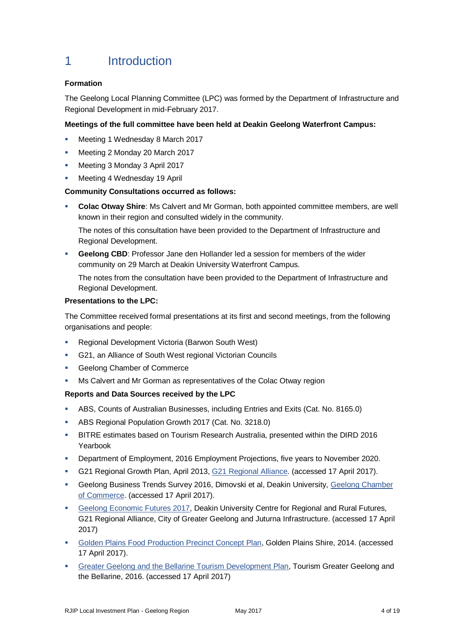## 1 Introduction

## **Formation**

The Geelong Local Planning Committee (LPC) was formed by the Department of Infrastructure and Regional Development in mid-February 2017.

## **Meetings of the full committee have been held at Deakin Geelong Waterfront Campus:**

- **Meeting 1 Wednesday 8 March 2017**
- **Meeting 2 Monday 20 March 2017**
- **Meeting 3 Monday 3 April 2017**
- **Meeting 4 Wednesday 19 April**

### **Community Consultations occurred as follows:**

 **Colac Otway Shire**: Ms Calvert and Mr Gorman, both appointed committee members, are well known in their region and consulted widely in the community.

The notes of this consultation have been provided to the Department of Infrastructure and Regional Development.

**Geelong CBD:** Professor Jane den Hollander led a session for members of the wider community on 29 March at Deakin University Waterfront Campus.

The notes from the consultation have been provided to the Department of Infrastructure and Regional Development.

#### **Presentations to the LPC:**

The Committee received formal presentations at its first and second meetings, from the following organisations and people:

- Regional Development Victoria (Barwon South West)
- G21, an Alliance of South West regional Victorian Councils
- Geelong Chamber of Commerce
- Ms Calvert and Mr Gorman as representatives of the Colac Otway region

#### **Reports and Data Sources received by the LPC**

- ABS, Counts of Australian Businesses, including Entries and Exits (Cat. No. 8165.0)
- ABS Regional Population Growth 2017 (Cat. No. 3218.0)
- BITRE estimates based on Tourism Research Australia, presented within the DIRD 2016 Yearbook
- **Department of Employment, 2016 Employment Projections, five years to November 2020.**
- G21 Regional Growth Plan, April 2013, [G21 Regional Alliance.](http://www.g21.com.au/g21-regional-growth-plan-2013) (accessed 17 April 2017).
- Geelong Business Trends Survey 2016, Dimovski et al, Deakin University, [Geelong Chamber](http://www.geelongchamber.com.au/static/uploads/files/geelong-business-trends-2016-print-wftatiowcoud.pdf)  [of Commerce.](http://www.geelongchamber.com.au/static/uploads/files/geelong-business-trends-2016-print-wftatiowcoud.pdf) (accessed 17 April 2017).
- [Geelong Economic Futures 2017,](http://www.deakin.edu.au/__data/assets/pdf_file/0006/925170/future-economic-opportunities.pdf) Deakin University Centre for Regional and Rural Futures, G21 Regional Alliance, City of Greater Geelong and Juturna Infrastructure. (accessed 17 April 2017)
- [Golden Plains Food Production Precinct Concept Plan,](https://www.goldenplains.vic.gov.au/sites/default/files/docs/Golden-Plains-Food-Production-Precinct-Concept-Plan.pdf) Golden Plains Shire, 2014. (accessed 17 April 2017).
- [Greater Geelong and the Bellarine Tourism Development Plan,](https://www.tourismgeelongbellarine.com.au/wp-content/uploads/2016/10/Geelong-and-The-Bellarine-Tourism-Development-Plan-Summary.pdf) Tourism Greater Geelong and the Bellarine, 2016. (accessed 17 April 2017)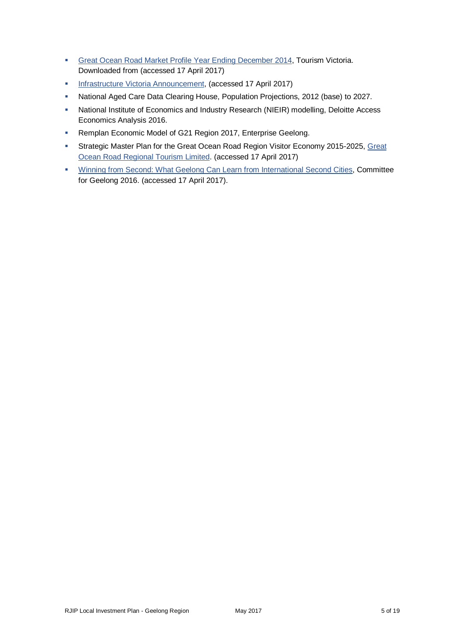- Great Ocean [Road Market Profile Year Ending December 2014,](http://www.tourism.vic.gov.au/index.php?option=com_content&view=article&id=282&Itemid=309) Tourism Victoria. Downloaded from (accessed 17 April 2017)
- **[Infrastructure Victoria Announcement,](http://www.infrastructurevictoria.com.au/second-container-port) (accessed 17 April 2017)**
- National Aged Care Data Clearing House, Population Projections, 2012 (base) to 2027.
- National Institute of Economics and Industry Research (NIEIR) modelling, Deloitte Access Economics Analysis 2016.
- **Remplan Economic Model of G21 Region 2017, Enterprise Geelong.**
- Strategic Master Plan for the [Great](http://www.greatoceanroadtourism.org.au/great-ocean-road-regional-tourism/) Ocean Road Region Visitor Economy 2015-2025, Great [Ocean Road Regional Tourism Limited.](http://www.greatoceanroadtourism.org.au/great-ocean-road-regional-tourism/) (accessed 17 April 2017)
- [Winning from Second: What Geelong Can Learn from International Second Cities,](http://www.committeeforgeelong.com.au/current-projects/winning-from-second-international-research-paper/) Committee for Geelong 2016. (accessed 17 April 2017).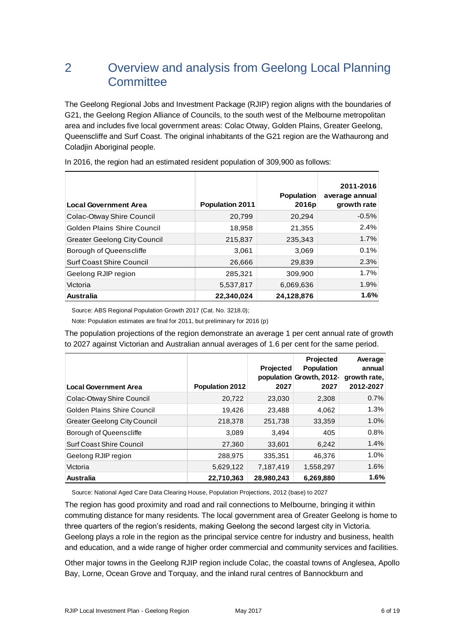## 2 Overview and analysis from Geelong Local Planning **Committee**

The Geelong Regional Jobs and Investment Package (RJIP) region aligns with the boundaries of G21, the Geelong Region Alliance of Councils, to the south west of the Melbourne metropolitan area and includes five local government areas: Colac Otway, Golden Plains, Greater Geelong, Queenscliffe and Surf Coast. The original inhabitants of the G21 region are the Wathaurong and Coladjin Aboriginal people.

| <b>Local Government Area</b>        | <b>Population 2011</b> | <b>Population</b><br>2016p | 2011-2016<br>average annual<br>growth rate |
|-------------------------------------|------------------------|----------------------------|--------------------------------------------|
| Colac-Otway Shire Council           | 20,799                 | 20,294                     | $-0.5%$                                    |
| Golden Plains Shire Council         | 18,958                 | 21,355                     | 2.4%                                       |
| <b>Greater Geelong City Council</b> | 215,837                | 235,343                    | 1.7%                                       |
| Borough of Queenscliffe             | 3,061                  | 3,069                      | 0.1%                                       |
| <b>Surf Coast Shire Council</b>     | 26,666                 | 29,839                     | 2.3%                                       |
| Geelong RJIP region                 | 285,321                | 309,900                    | 1.7%                                       |
| Victoria                            | 5,537,817              | 6,069,636                  | 1.9%                                       |
| <b>Australia</b>                    | 22,340,024             | 24,128,876                 | 1.6%                                       |

In 2016, the region had an estimated resident population of 309,900 as follows:

Source: ABS Regional Population Growth 2017 (Cat. No. 3218.0);

Note: Population estimates are final for 2011, but preliminary for 2016 (p)

The population projections of the region demonstrate an average 1 per cent annual rate of growth to 2027 against Victorian and Australian annual averages of 1.6 per cent for the same period.

| <b>Local Government Area</b>        | <b>Population 2012</b> | <b>Projected</b><br>2027 | <b>Projected</b><br><b>Population</b><br>population Growth, 2012-<br>2027 | Average<br>annual<br>growth rate,<br>2012-2027 |
|-------------------------------------|------------------------|--------------------------|---------------------------------------------------------------------------|------------------------------------------------|
| Colac-Otway Shire Council           | 20,722                 | 23,030                   | 2,308                                                                     | 0.7%                                           |
| <b>Golden Plains Shire Council</b>  | 19,426                 | 23,488                   | 4,062                                                                     | 1.3%                                           |
| <b>Greater Geelong City Council</b> | 218,378                | 251,738                  | 33,359                                                                    | 1.0%                                           |
| Borough of Queenscliffe             | 3,089                  | 3.494                    | 405                                                                       | 0.8%                                           |
| <b>Surf Coast Shire Council</b>     | 27,360                 | 33,601                   | 6,242                                                                     | 1.4%                                           |
| Geelong RJIP region                 | 288,975                | 335,351                  | 46,376                                                                    | 1.0%                                           |
| Victoria                            | 5,629,122              | 7,187,419                | 1,558,297                                                                 | 1.6%                                           |
| <b>Australia</b>                    | 22,710,363             | 28,980,243               | 6,269,880                                                                 | 1.6%                                           |

Source: National Aged Care Data Clearing House, Population Projections, 2012 (base) to 2027

The region has good proximity and road and rail connections to Melbourne, bringing it within commuting distance for many residents. The local government area of Greater Geelong is home to three quarters of the region's residents, making Geelong the second largest city in Victoria. Geelong plays a role in the region as the principal service centre for industry and business, health and education, and a wide range of higher order commercial and community services and facilities.

Other major towns in the Geelong RJIP region include Colac, the coastal towns of Anglesea, Apollo Bay, Lorne, Ocean Grove and Torquay, and the inland rural centres of Bannockburn and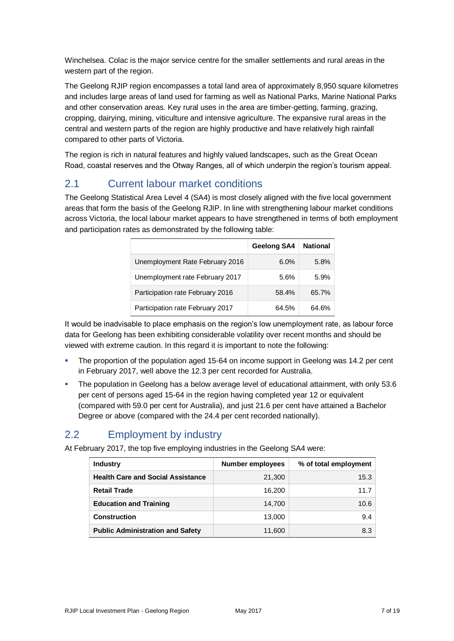Winchelsea. Colac is the major service centre for the smaller settlements and rural areas in the western part of the region.

The Geelong RJIP region encompasses a total land area of approximately 8,950 square kilometres and includes large areas of land used for farming as well as National Parks, Marine National Parks and other conservation areas. Key rural uses in the area are timber-getting, farming, grazing, cropping, dairying, mining, viticulture and intensive agriculture. The expansive rural areas in the central and western parts of the region are highly productive and have relatively high rainfall compared to other parts of Victoria.

The region is rich in natural features and highly valued landscapes, such as the Great Ocean Road, coastal reserves and the Otway Ranges, all of which underpin the region's tourism appeal.

## 2.1 Current labour market conditions

The Geelong Statistical Area Level 4 (SA4) is most closely aligned with the five local government areas that form the basis of the Geelong RJIP. In line with strengthening labour market conditions across Victoria, the local labour market appears to have strengthened in terms of both employment and participation rates as demonstrated by the following table:

|                                  | Geelong SA4 | <b>National</b> |
|----------------------------------|-------------|-----------------|
| Unemployment Rate February 2016  | 6.0%        | 5.8%            |
| Unemployment rate February 2017  | 5.6%        | 5.9%            |
| Participation rate February 2016 | 58.4%       | 65.7%           |
| Participation rate February 2017 | 64.5%       | 64.6%           |

It would be inadvisable to place emphasis on the region's low unemployment rate, as labour force data for Geelong has been exhibiting considerable volatility over recent months and should be viewed with extreme caution. In this regard it is important to note the following:

- The proportion of the population aged 15-64 on income support in Geelong was 14.2 per cent in February 2017, well above the 12.3 per cent recorded for Australia.
- The population in Geelong has a below average level of educational attainment, with only 53.6 per cent of persons aged 15-64 in the region having completed year 12 or equivalent (compared with 59.0 per cent for Australia), and just 21.6 per cent have attained a Bachelor Degree or above (compared with the 24.4 per cent recorded nationally).

## 2.2 Employment by industry

At February 2017, the top five employing industries in the Geelong SA4 were:

| <b>Industry</b>                          | Number employees | % of total employment |
|------------------------------------------|------------------|-----------------------|
| <b>Health Care and Social Assistance</b> | 21,300           | 15.3                  |
| <b>Retail Trade</b>                      | 16,200           | 11.7                  |
| <b>Education and Training</b>            | 14.700           | 10.6                  |
| Construction                             | 13,000           | 9.4                   |
| <b>Public Administration and Safety</b>  | 11,600           | 8.3                   |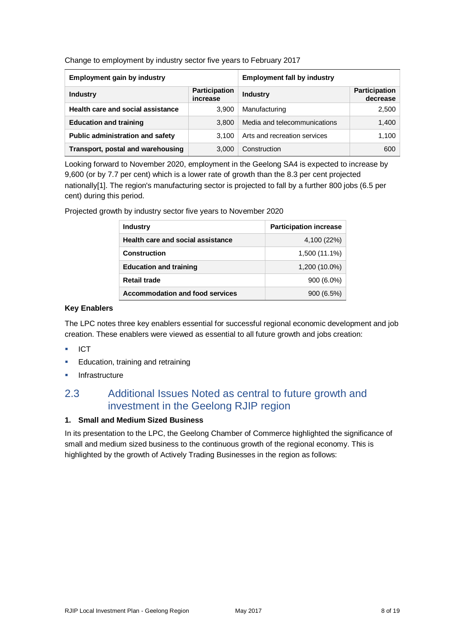Change to employment by industry sector five years to February 2017

| <b>Employment gain by industry</b> |                                  | <b>Employment fall by industry</b> |                                  |
|------------------------------------|----------------------------------|------------------------------------|----------------------------------|
| <b>Industry</b>                    | <b>Participation</b><br>increase | <b>Industry</b>                    | <b>Participation</b><br>decrease |
| Health care and social assistance  | 3,900                            | Manufacturing                      | 2,500                            |
| <b>Education and training</b>      | 3.800                            | Media and telecommunications       | 1,400                            |
| Public administration and safety   | 3.100                            | Arts and recreation services       | 1,100                            |
| Transport, postal and warehousing  | 3,000                            | Construction                       | 600                              |

Looking forward to November 2020, employment in the Geelong SA4 is expected to increase by 9,600 (or by 7.7 per cent) which is a lower rate of growth than the 8.3 per cent projected nationally[1]. The region's manufacturing sector is projected to fall by a further 800 jobs (6.5 per cent) during this period.

> **Industry Participation increase Health care and social assistance** 4,100 (22%) **Construction** 1,500 (11.1%) **Education and training** 1,200 (10.0%) **Retail trade** 900 (6.0%) Accommodation and food services 900 (6.5%)

Projected growth by industry sector five years to November 2020

#### **Key Enablers**

The LPC notes three key enablers essential for successful regional economic development and job creation. These enablers were viewed as essential to all future growth and jobs creation:

- ICT
- **Education, training and retraining**
- Infrastructure

## 2.3 Additional Issues Noted as central to future growth and investment in the Geelong RJIP region

#### **1. Small and Medium Sized Business**

In its presentation to the LPC, the Geelong Chamber of Commerce highlighted the significance of small and medium sized business to the continuous growth of the regional economy. This is highlighted by the growth of Actively Trading Businesses in the region as follows: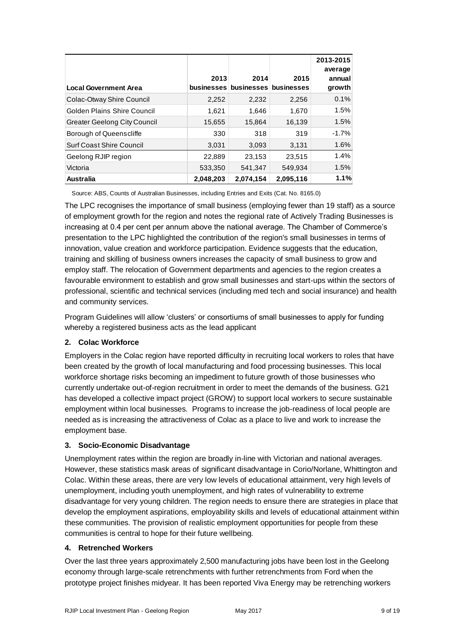| <b>Local Government Area</b>        | 2013      | 2014<br>businesses businesses businesses | 2015      | 2013-2015<br>average<br>annual<br>growth |
|-------------------------------------|-----------|------------------------------------------|-----------|------------------------------------------|
| Colac-Otway Shire Council           | 2,252     | 2,232                                    | 2,256     | 0.1%                                     |
| Golden Plains Shire Council         | 1,621     | 1,646                                    | 1,670     | 1.5%                                     |
| <b>Greater Geelong City Council</b> | 15,655    | 15,864                                   | 16,139    | 1.5%                                     |
| Borough of Queenscliffe             | 330       | 318                                      | 319       | $-1.7%$                                  |
| <b>Surf Coast Shire Council</b>     | 3,031     | 3,093                                    | 3,131     | 1.6%                                     |
| Geelong RJIP region                 | 22,889    | 23,153                                   | 23,515    | 1.4%                                     |
| Victoria                            | 533,350   | 541,347                                  | 549,934   | 1.5%                                     |
| <b>Australia</b>                    | 2,048,203 | 2,074,154                                | 2,095,116 | 1.1%                                     |

Source: ABS, Counts of Australian Businesses, including Entries and Exits (Cat. No. 8165.0)

The LPC recognises the importance of small business (employing fewer than 19 staff) as a source of employment growth for the region and notes the regional rate of Actively Trading Businesses is increasing at 0.4 per cent per annum above the national average. The Chamber of Commerce's presentation to the LPC highlighted the contribution of the region's small businesses in terms of innovation, value creation and workforce participation. Evidence suggests that the education, training and skilling of business owners increases the capacity of small business to grow and employ staff. The relocation of Government departments and agencies to the region creates a favourable environment to establish and grow small businesses and start-ups within the sectors of professional, scientific and technical services (including med tech and social insurance) and health and community services.

Program Guidelines will allow 'clusters' or consortiums of small businesses to apply for funding whereby a registered business acts as the lead applicant

## **2. Colac Workforce**

Employers in the Colac region have reported difficulty in recruiting local workers to roles that have been created by the growth of local manufacturing and food processing businesses. This local workforce shortage risks becoming an impediment to future growth of those businesses who currently undertake out-of-region recruitment in order to meet the demands of the business. G21 has developed a collective impact project (GROW) to support local workers to secure sustainable employment within local businesses. Programs to increase the job-readiness of local people are needed as is increasing the attractiveness of Colac as a place to live and work to increase the employment base.

## **3. Socio-Economic Disadvantage**

Unemployment rates within the region are broadly in-line with Victorian and national averages. However, these statistics mask areas of significant disadvantage in Corio/Norlane, Whittington and Colac. Within these areas, there are very low levels of educational attainment, very high levels of unemployment, including youth unemployment, and high rates of vulnerability to extreme disadvantage for very young children. The region needs to ensure there are strategies in place that develop the employment aspirations, employability skills and levels of educational attainment within these communities. The provision of realistic employment opportunities for people from these communities is central to hope for their future wellbeing.

#### **4. Retrenched Workers**

Over the last three years approximately 2,500 manufacturing jobs have been lost in the Geelong economy through large-scale retrenchments with further retrenchments from Ford when the prototype project finishes midyear. It has been reported Viva Energy may be retrenching workers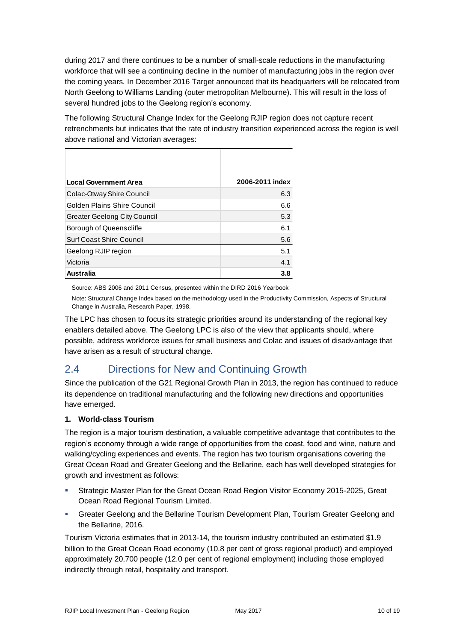during 2017 and there continues to be a number of small-scale reductions in the manufacturing workforce that will see a continuing decline in the number of manufacturing jobs in the region over the coming years. In December 2016 Target announced that its headquarters will be relocated from North Geelong to Williams Landing (outer metropolitan Melbourne). This will result in the loss of several hundred jobs to the Geelong region's economy.

The following Structural Change Index for the Geelong RJIP region does not capture recent retrenchments but indicates that the rate of industry transition experienced across the region is well above national and Victorian averages:

| <b>Local Government Area</b>        | 2006-2011 index |
|-------------------------------------|-----------------|
| Colac-Otway Shire Council           | 6.3             |
| Golden Plains Shire Council         | 6.6             |
| <b>Greater Geelong City Council</b> | 5.3             |
| Borough of Queenscliffe             | 6.1             |
| Surf Coast Shire Council            | 5.6             |
| Geelong RJIP region                 | 5.1             |
| Victoria                            | 4.1             |
| Australia                           | 3.8             |

Source: ABS 2006 and 2011 Census, presented within the DIRD 2016 Yearbook

Note: Structural Change Index based on the methodology used in the Productivity Commission, Aspects of Structural Change in Australia, Research Paper, 1998.

The LPC has chosen to focus its strategic priorities around its understanding of the regional key enablers detailed above. The Geelong LPC is also of the view that applicants should, where possible, address workforce issues for small business and Colac and issues of disadvantage that have arisen as a result of structural change.

## 2.4 Directions for New and Continuing Growth

Since the publication of the G21 Regional Growth Plan in 2013, the region has continued to reduce its dependence on traditional manufacturing and the following new directions and opportunities have emerged.

## **1. World-class Tourism**

The region is a major tourism destination, a valuable competitive advantage that contributes to the region's economy through a wide range of opportunities from the coast, food and wine, nature and walking/cycling experiences and events. The region has two tourism organisations covering the Great Ocean Road and Greater Geelong and the Bellarine, each has well developed strategies for growth and investment as follows:

- Strategic Master Plan for the Great Ocean Road Region Visitor Economy 2015-2025, Great Ocean Road Regional Tourism Limited.
- **Greater Geelong and the Bellarine Tourism Development Plan, Tourism Greater Geelong and** the Bellarine, 2016.

Tourism Victoria estimates that in 2013-14, the tourism industry contributed an estimated \$1.9 billion to the Great Ocean Road economy (10.8 per cent of gross regional product) and employed approximately 20,700 people (12.0 per cent of regional employment) including those employed indirectly through retail, hospitality and transport.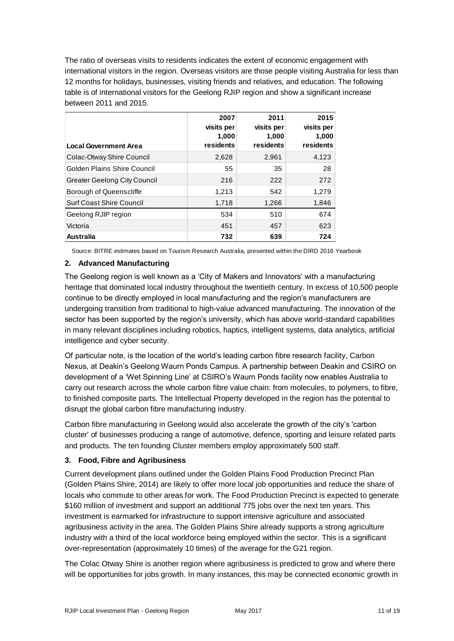The ratio of overseas visits to residents indicates the extent of economic engagement with international visitors in the region. Overseas visitors are those people visiting Australia for less than 12 months for holidays, businesses, visiting friends and relatives, and education. The following table is of international visitors for the Geelong RJIP region and show a significant increase between 2011 and 2015.

| <b>Local Government Area</b>        | 2007<br>visits per<br>1,000<br>residents | 2011<br>visits per<br>1,000<br>residents | 2015<br>visits per<br>1,000<br>residents |
|-------------------------------------|------------------------------------------|------------------------------------------|------------------------------------------|
| Colac-Otway Shire Council           | 2,628                                    | 2,961                                    | 4,123                                    |
| Golden Plains Shire Council         | 55                                       | 35                                       | 28                                       |
| <b>Greater Geelong City Council</b> | 216                                      | 222                                      | 272                                      |
| Borough of Queenscliffe             | 1,213                                    | 542                                      | 1,279                                    |
| <b>Surf Coast Shire Council</b>     | 1,718                                    | 1,266                                    | 1,846                                    |
| Geelong RJIP region                 | 534                                      | 510                                      | 674                                      |
| Victoria                            | 451                                      | 457                                      | 623                                      |
| <b>Australia</b>                    | 732                                      | 639                                      | 724                                      |

Source: BITRE estimates based on Tourism Research Australia, presented within the DIRD 2016 Yearbook

#### **2. Advanced Manufacturing**

The Geelong region is well known as a 'City of Makers and Innovators' with a manufacturing heritage that dominated local industry throughout the twentieth century. In excess of 10,500 people continue to be directly employed in local manufacturing and the region's manufacturers are undergoing transition from traditional to high-value advanced manufacturing. The innovation of the sector has been supported by the region's university, which has above world-standard capabilities in many relevant disciplines including robotics, haptics, intelligent systems, data analytics, artificial intelligence and cyber security.

Of particular note, is the location of the world's leading carbon fibre research facility, Carbon Nexus, at Deakin's Geelong Waurn Ponds Campus. A partnership between Deakin and CSIRO on development of a 'Wet Spinning Line' at CSIRO's Waurn Ponds facility now enables Australia to carry out research across the whole carbon fibre value chain: from molecules, to polymers, to fibre, to finished composite parts. The Intellectual Property developed in the region has the potential to disrupt the global carbon fibre manufacturing industry.

Carbon fibre manufacturing in Geelong would also accelerate the growth of the city's 'carbon cluster' of businesses producing a range of automotive, defence, sporting and leisure related parts and products. The ten founding Cluster members employ approximately 500 staff.

#### **3. Food, Fibre and Agribusiness**

Current development plans outlined under the Golden Plains Food Production Precinct Plan (Golden Plains Shire, 2014) are likely to offer more local job opportunities and reduce the share of locals who commute to other areas for work. The Food Production Precinct is expected to generate \$160 million of investment and support an additional 775 jobs over the next ten years. This investment is earmarked for infrastructure to support intensive agriculture and associated agribusiness activity in the area. The Golden Plains Shire already supports a strong agriculture industry with a third of the local workforce being employed within the sector. This is a significant over-representation (approximately 10 times) of the average for the G21 region.

The Colac Otway Shire is another region where agribusiness is predicted to grow and where there will be opportunities for jobs growth. In many instances, this may be connected economic growth in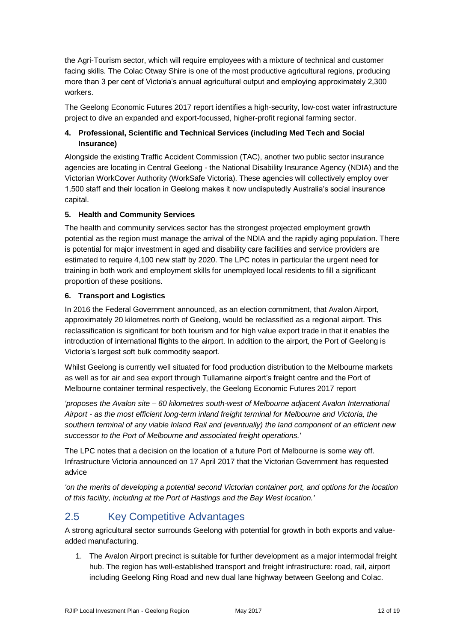the Agri-Tourism sector, which will require employees with a mixture of technical and customer facing skills. The Colac Otway Shire is one of the most productive agricultural regions, producing more than 3 per cent of Victoria's annual agricultural output and employing approximately 2,300 workers.

The Geelong Economic Futures 2017 report identifies a high-security, low-cost water infrastructure project to dive an expanded and export-focussed, higher-profit regional farming sector.

## **4. Professional, Scientific and Technical Services (including Med Tech and Social Insurance)**

Alongside the existing Traffic Accident Commission (TAC), another two public sector insurance agencies are locating in Central Geelong - the National Disability Insurance Agency (NDIA) and the Victorian WorkCover Authority (WorkSafe Victoria). These agencies will collectively employ over 1,500 staff and their location in Geelong makes it now undisputedly Australia's social insurance capital.

## **5. Health and Community Services**

The health and community services sector has the strongest projected employment growth potential as the region must manage the arrival of the NDIA and the rapidly aging population. There is potential for major investment in aged and disability care facilities and service providers are estimated to require 4,100 new staff by 2020. The LPC notes in particular the urgent need for training in both work and employment skills for unemployed local residents to fill a significant proportion of these positions.

### **6. Transport and Logistics**

In 2016 the Federal Government announced, as an election commitment, that Avalon Airport, approximately 20 kilometres north of Geelong, would be reclassified as a regional airport. This reclassification is significant for both tourism and for high value export trade in that it enables the introduction of international flights to the airport. In addition to the airport, the Port of Geelong is Victoria's largest soft bulk commodity seaport.

Whilst Geelong is currently well situated for food production distribution to the Melbourne markets as well as for air and sea export through Tullamarine airport's freight centre and the Port of Melbourne container terminal respectively, the Geelong Economic Futures 2017 report

*'proposes the Avalon site – 60 kilometres south-west of Melbourne adjacent Avalon International Airport - as the most efficient long-term inland freight terminal for Melbourne and Victoria, the southern terminal of any viable Inland Rail and (eventually) the land component of an efficient new successor to the Port of Melbourne and associated freight operations.'*

The LPC notes that a decision on the location of a future Port of Melbourne is some way off. Infrastructure Victoria announced on 17 April 2017 that the Victorian Government has requested advice

*'on the merits of developing a potential second Victorian container port, and options for the location of this facility, including at the Port of Hastings and the Bay West location.'*

## 2.5 Key Competitive Advantages

A strong agricultural sector surrounds Geelong with potential for growth in both exports and valueadded manufacturing.

1. The Avalon Airport precinct is suitable for further development as a major intermodal freight hub. The region has well-established transport and freight infrastructure: road, rail, airport including Geelong Ring Road and new dual lane highway between Geelong and Colac.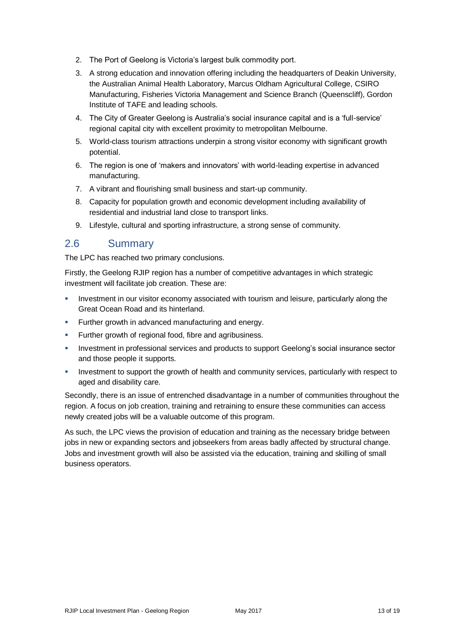- 2. The Port of Geelong is Victoria's largest bulk commodity port.
- 3. A strong education and innovation offering including the headquarters of Deakin University, the Australian Animal Health Laboratory, Marcus Oldham Agricultural College, CSIRO Manufacturing, Fisheries Victoria Management and Science Branch (Queenscliff), Gordon Institute of TAFE and leading schools.
- 4. The City of Greater Geelong is Australia's social insurance capital and is a 'full-service' regional capital city with excellent proximity to metropolitan Melbourne.
- 5. World-class tourism attractions underpin a strong visitor economy with significant growth potential.
- 6. The region is one of 'makers and innovators' with world-leading expertise in advanced manufacturing.
- 7. A vibrant and flourishing small business and start-up community.
- 8. Capacity for population growth and economic development including availability of residential and industrial land close to transport links.
- 9. Lifestyle, cultural and sporting infrastructure, a strong sense of community.

## 2.6 Summary

The LPC has reached two primary conclusions.

Firstly, the Geelong RJIP region has a number of competitive advantages in which strategic investment will facilitate job creation. These are:

- **Investment in our visitor economy associated with tourism and leisure, particularly along the** Great Ocean Road and its hinterland.
- **Further growth in advanced manufacturing and energy.**
- Further growth of regional food, fibre and agribusiness.
- Investment in professional services and products to support Geelong's social insurance sector and those people it supports.
- Investment to support the growth of health and community services, particularly with respect to aged and disability care.

Secondly, there is an issue of entrenched disadvantage in a number of communities throughout the region. A focus on job creation, training and retraining to ensure these communities can access newly created jobs will be a valuable outcome of this program.

As such, the LPC views the provision of education and training as the necessary bridge between jobs in new or expanding sectors and jobseekers from areas badly affected by structural change. Jobs and investment growth will also be assisted via the education, training and skilling of small business operators.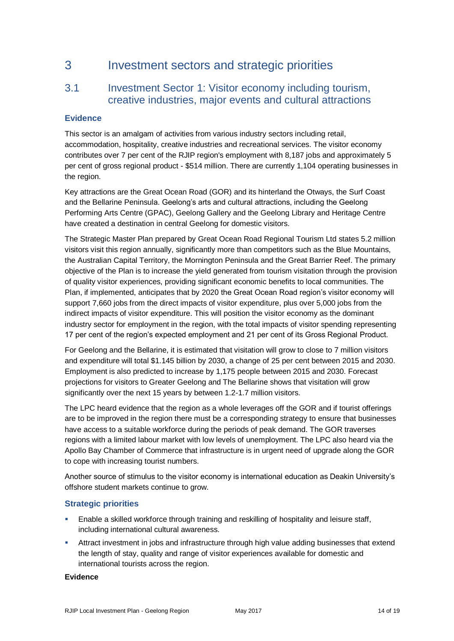## 3 Investment sectors and strategic priorities

## 3.1 Investment Sector 1: Visitor economy including tourism, creative industries, major events and cultural attractions

## **Evidence**

This sector is an amalgam of activities from various industry sectors including retail, accommodation, hospitality, creative industries and recreational services. The visitor economy contributes over 7 per cent of the RJIP region's employment with 8,187 jobs and approximately 5 per cent of gross regional product - \$514 million. There are currently 1,104 operating businesses in the region.

Key attractions are the Great Ocean Road (GOR) and its hinterland the Otways, the Surf Coast and the Bellarine Peninsula. Geelong's arts and cultural attractions, including the Geelong Performing Arts Centre (GPAC), Geelong Gallery and the Geelong Library and Heritage Centre have created a destination in central Geelong for domestic visitors.

The Strategic Master Plan prepared by Great Ocean Road Regional Tourism Ltd states 5.2 million visitors visit this region annually, significantly more than competitors such as the Blue Mountains, the Australian Capital Territory, the Mornington Peninsula and the Great Barrier Reef. The primary objective of the Plan is to increase the yield generated from tourism visitation through the provision of quality visitor experiences, providing significant economic benefits to local communities. The Plan, if implemented, anticipates that by 2020 the Great Ocean Road region's visitor economy will support 7,660 jobs from the direct impacts of visitor expenditure, plus over 5,000 jobs from the indirect impacts of visitor expenditure. This will position the visitor economy as the dominant industry sector for employment in the region, with the total impacts of visitor spending representing 17 per cent of the region's expected employment and 21 per cent of its Gross Regional Product.

For Geelong and the Bellarine, it is estimated that visitation will grow to close to 7 million visitors and expenditure will total \$1.145 billion by 2030, a change of 25 per cent between 2015 and 2030. Employment is also predicted to increase by 1,175 people between 2015 and 2030. Forecast projections for visitors to Greater Geelong and The Bellarine shows that visitation will grow significantly over the next 15 years by between 1.2-1.7 million visitors.

The LPC heard evidence that the region as a whole leverages off the GOR and if tourist offerings are to be improved in the region there must be a corresponding strategy to ensure that businesses have access to a suitable workforce during the periods of peak demand. The GOR traverses regions with a limited labour market with low levels of unemployment. The LPC also heard via the Apollo Bay Chamber of Commerce that infrastructure is in urgent need of upgrade along the GOR to cope with increasing tourist numbers.

Another source of stimulus to the visitor economy is international education as Deakin University's offshore student markets continue to grow.

## **Strategic priorities**

- Enable a skilled workforce through training and reskilling of hospitality and leisure staff, including international cultural awareness.
- Attract investment in jobs and infrastructure through high value adding businesses that extend the length of stay, quality and range of visitor experiences available for domestic and international tourists across the region.

#### **Evidence**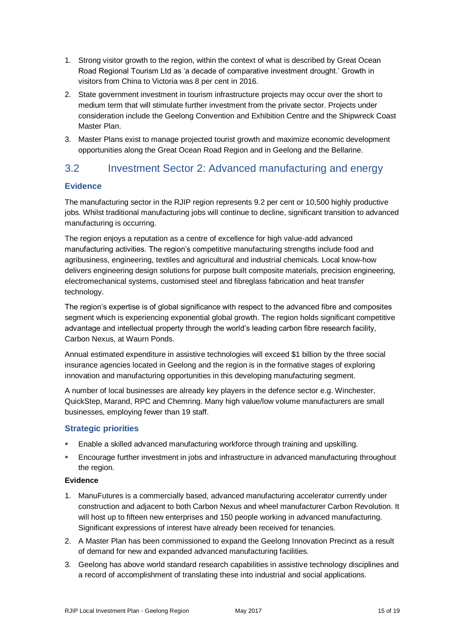- 1. Strong visitor growth to the region, within the context of what is described by Great Ocean Road Regional Tourism Ltd as 'a decade of comparative investment drought.' Growth in visitors from China to Victoria was 8 per cent in 2016.
- 2. State government investment in tourism infrastructure projects may occur over the short to medium term that will stimulate further investment from the private sector. Projects under consideration include the Geelong Convention and Exhibition Centre and the Shipwreck Coast Master Plan.
- 3. Master Plans exist to manage projected tourist growth and maximize economic development opportunities along the Great Ocean Road Region and in Geelong and the Bellarine.

## 3.2 Investment Sector 2: Advanced manufacturing and energy

## **Evidence**

The manufacturing sector in the RJIP region represents 9.2 per cent or 10,500 highly productive jobs. Whilst traditional manufacturing jobs will continue to decline, significant transition to advanced manufacturing is occurring.

The region enjoys a reputation as a centre of excellence for high value-add advanced manufacturing activities. The region's competitive manufacturing strengths include food and agribusiness, engineering, textiles and agricultural and industrial chemicals. Local know-how delivers engineering design solutions for purpose built composite materials, precision engineering, electromechanical systems, customised steel and fibreglass fabrication and heat transfer technology.

The region's expertise is of global significance with respect to the advanced fibre and composites segment which is experiencing exponential global growth. The region holds significant competitive advantage and intellectual property through the world's leading carbon fibre research facility, Carbon Nexus, at Waurn Ponds.

Annual estimated expenditure in assistive technologies will exceed \$1 billion by the three social insurance agencies located in Geelong and the region is in the formative stages of exploring innovation and manufacturing opportunities in this developing manufacturing segment.

A number of local businesses are already key players in the defence sector e.g. Winchester, QuickStep, Marand, RPC and Chemring. Many high value/low volume manufacturers are small businesses, employing fewer than 19 staff.

## **Strategic priorities**

- Enable a skilled advanced manufacturing workforce through training and upskilling.
- Encourage further investment in jobs and infrastructure in advanced manufacturing throughout the region.

## **Evidence**

- 1. ManuFutures is a commercially based, advanced manufacturing accelerator currently under construction and adjacent to both Carbon Nexus and wheel manufacturer Carbon Revolution. It will host up to fifteen new enterprises and 150 people working in advanced manufacturing. Significant expressions of interest have already been received for tenancies.
- 2. A Master Plan has been commissioned to expand the Geelong Innovation Precinct as a result of demand for new and expanded advanced manufacturing facilities.
- 3. Geelong has above world standard research capabilities in assistive technology disciplines and a record of accomplishment of translating these into industrial and social applications.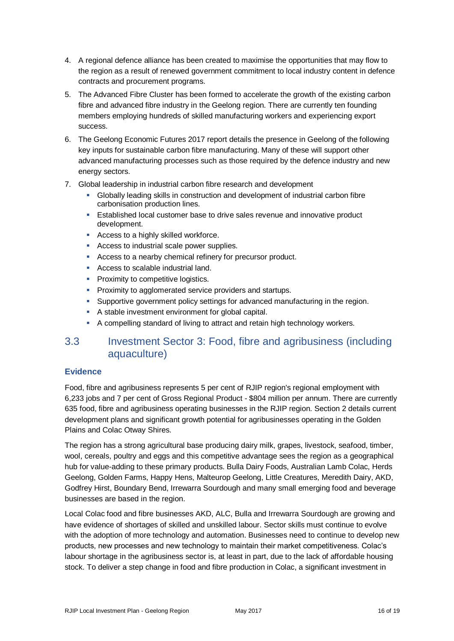- 4. A regional defence alliance has been created to maximise the opportunities that may flow to the region as a result of renewed government commitment to local industry content in defence contracts and procurement programs.
- 5. The Advanced Fibre Cluster has been formed to accelerate the growth of the existing carbon fibre and advanced fibre industry in the Geelong region. There are currently ten founding members employing hundreds of skilled manufacturing workers and experiencing export success.
- 6. The Geelong Economic Futures 2017 report details the presence in Geelong of the following key inputs for sustainable carbon fibre manufacturing. Many of these will support other advanced manufacturing processes such as those required by the defence industry and new energy sectors.
- 7. Global leadership in industrial carbon fibre research and development
	- Globally leading skills in construction and development of industrial carbon fibre carbonisation production lines.
	- Established local customer base to drive sales revenue and innovative product development.
	- **Access to a highly skilled workforce.**
	- Access to industrial scale power supplies.
	- Access to a nearby chemical refinery for precursor product.
	- **Access to scalable industrial land.**
	- **Proximity to competitive logistics.**
	- **Proximity to agglomerated service providers and startups.**
	- Supportive government policy settings for advanced manufacturing in the region.
	- A stable investment environment for global capital.
	- A compelling standard of living to attract and retain high technology workers.

## 3.3 Investment Sector 3: Food, fibre and agribusiness (including aquaculture)

## **Evidence**

Food, fibre and agribusiness represents 5 per cent of RJIP region's regional employment with 6,233 jobs and 7 per cent of Gross Regional Product - \$804 million per annum. There are currently 635 food, fibre and agribusiness operating businesses in the RJIP region. Section 2 details current development plans and significant growth potential for agribusinesses operating in the Golden Plains and Colac Otway Shires.

The region has a strong agricultural base producing dairy milk, grapes, livestock, seafood, timber, wool, cereals, poultry and eggs and this competitive advantage sees the region as a geographical hub for value-adding to these primary products. Bulla Dairy Foods, Australian Lamb Colac, Herds Geelong, Golden Farms, Happy Hens, Malteurop Geelong, Little Creatures, Meredith Dairy, AKD, Godfrey Hirst, Boundary Bend, Irrewarra Sourdough and many small emerging food and beverage businesses are based in the region.

Local Colac food and fibre businesses AKD, ALC, Bulla and Irrewarra Sourdough are growing and have evidence of shortages of skilled and unskilled labour. Sector skills must continue to evolve with the adoption of more technology and automation. Businesses need to continue to develop new products, new processes and new technology to maintain their market competitiveness. Colac's labour shortage in the agribusiness sector is, at least in part, due to the lack of affordable housing stock. To deliver a step change in food and fibre production in Colac, a significant investment in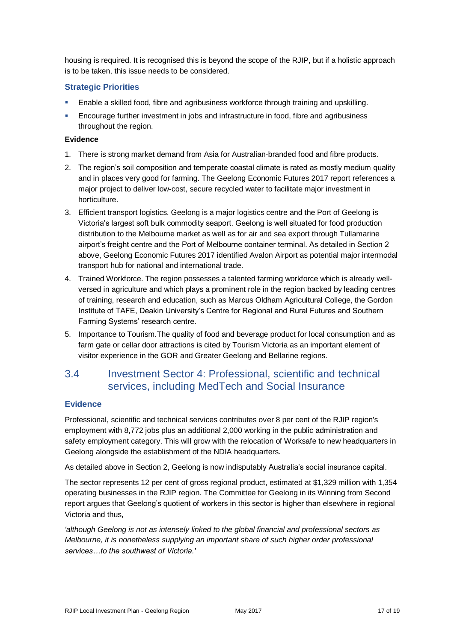housing is required. It is recognised this is beyond the scope of the RJIP, but if a holistic approach is to be taken, this issue needs to be considered.

## **Strategic Priorities**

- Enable a skilled food, fibre and agribusiness workforce through training and upskilling.
- Encourage further investment in jobs and infrastructure in food, fibre and agribusiness throughout the region.

#### **Evidence**

- 1. There is strong market demand from Asia for Australian-branded food and fibre products.
- 2. The region's soil composition and temperate coastal climate is rated as mostly medium quality and in places very good for farming. The Geelong Economic Futures 2017 report references a major project to deliver low-cost, secure recycled water to facilitate major investment in horticulture.
- 3. Efficient transport logistics. Geelong is a major logistics centre and the Port of Geelong is Victoria's largest soft bulk commodity seaport. Geelong is well situated for food production distribution to the Melbourne market as well as for air and sea export through Tullamarine airport's freight centre and the Port of Melbourne container terminal. As detailed in Section 2 above, Geelong Economic Futures 2017 identified Avalon Airport as potential major intermodal transport hub for national and international trade.
- 4. Trained Workforce. The region possesses a talented farming workforce which is already wellversed in agriculture and which plays a prominent role in the region backed by leading centres of training, research and education, such as Marcus Oldham Agricultural College, the Gordon Institute of TAFE, Deakin University's Centre for Regional and Rural Futures and Southern Farming Systems' research centre.
- 5. Importance to Tourism.The quality of food and beverage product for local consumption and as farm gate or cellar door attractions is cited by Tourism Victoria as an important element of visitor experience in the GOR and Greater Geelong and Bellarine regions.

## 3.4 Investment Sector 4: Professional, scientific and technical services, including MedTech and Social Insurance

## **Evidence**

Professional, scientific and technical services contributes over 8 per cent of the RJIP region's employment with 8,772 jobs plus an additional 2,000 working in the public administration and safety employment category. This will grow with the relocation of Worksafe to new headquarters in Geelong alongside the establishment of the NDIA headquarters.

As detailed above in Section 2, Geelong is now indisputably Australia's social insurance capital.

The sector represents 12 per cent of gross regional product, estimated at \$1,329 million with 1,354 operating businesses in the RJIP region. The Committee for Geelong in its Winning from Second report argues that Geelong's quotient of workers in this sector is higher than elsewhere in regional Victoria and thus,

*'although Geelong is not as intensely linked to the global financial and professional sectors as Melbourne, it is nonetheless supplying an important share of such higher order professional services…to the southwest of Victoria.'*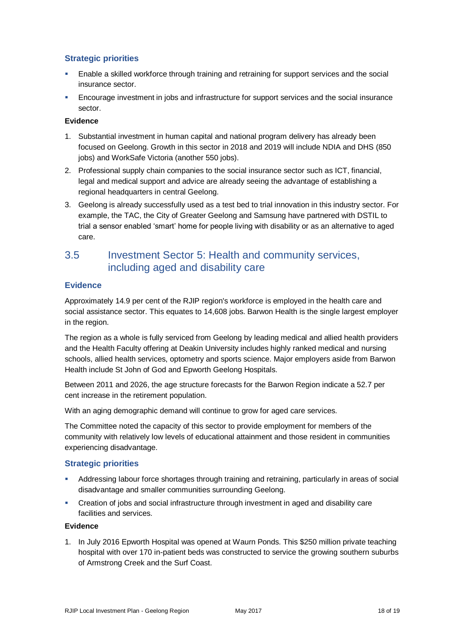## **Strategic priorities**

- Enable a skilled workforce through training and retraining for support services and the social insurance sector.
- Encourage investment in jobs and infrastructure for support services and the social insurance sector.

#### **Evidence**

- 1. Substantial investment in human capital and national program delivery has already been focused on Geelong. Growth in this sector in 2018 and 2019 will include NDIA and DHS (850 jobs) and WorkSafe Victoria (another 550 jobs).
- 2. Professional supply chain companies to the social insurance sector such as ICT, financial, legal and medical support and advice are already seeing the advantage of establishing a regional headquarters in central Geelong.
- 3. Geelong is already successfully used as a test bed to trial innovation in this industry sector. For example, the TAC, the City of Greater Geelong and Samsung have partnered with DSTIL to trial a sensor enabled 'smart' home for people living with disability or as an alternative to aged care.

## 3.5 Investment Sector 5: Health and community services, including aged and disability care

## **Evidence**

Approximately 14.9 per cent of the RJIP region's workforce is employed in the health care and social assistance sector. This equates to 14,608 jobs. Barwon Health is the single largest employer in the region.

The region as a whole is fully serviced from Geelong by leading medical and allied health providers and the Health Faculty offering at Deakin University includes highly ranked medical and nursing schools, allied health services, optometry and sports science. Major employers aside from Barwon Health include St John of God and Epworth Geelong Hospitals.

Between 2011 and 2026, the age structure forecasts for the Barwon Region indicate a 52.7 per cent increase in the retirement population.

With an aging demographic demand will continue to grow for aged care services.

The Committee noted the capacity of this sector to provide employment for members of the community with relatively low levels of educational attainment and those resident in communities experiencing disadvantage.

## **Strategic priorities**

- Addressing labour force shortages through training and retraining, particularly in areas of social disadvantage and smaller communities surrounding Geelong.
- Creation of jobs and social infrastructure through investment in aged and disability care facilities and services.

#### **Evidence**

1. In July 2016 Epworth Hospital was opened at Waurn Ponds. This \$250 million private teaching hospital with over 170 in-patient beds was constructed to service the growing southern suburbs of Armstrong Creek and the Surf Coast.